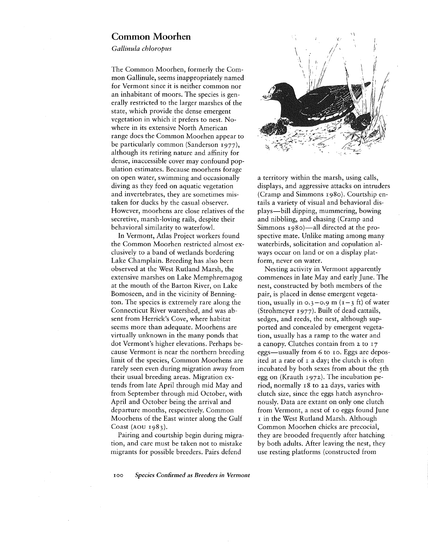## **Common Moorhen**

*Gallinula chloropus*

The Common Moorhen, formerly the Common Gallinule, seems inappropriately named for Vermont since it is neither common nor an inhabitant of moors. The species is generally restricted to the larger marshes of the state, which provide the dense emergent vegetation in which it prefers to nest. Nowhere in its extensive North American range does the Common Moorhen appear to be particularly common (Sanderson 1977), although its retiring nature and affinity for dense, inaccessible cover may confound population estimates. Because moorhens forage on open water, swimming and occasionally diving as they feed on aquatic vegetation and invertebrates, they are sometimes mistaken for ducks by the casual observer. However, moorhens are close relatives of the secretive, marsh-loving rails, despite their behavioral similarity to waterfowl.

**In** Vermont, Atlas Project workers found the Common Moorhen restricted almost exclusively to a band of wetlands bordering Lake Champlain. Breeding has also been observed at the West Rutland Marsh, the extensive marshes on Lake Memphremagog at the mouth of the Barton River, on Lake Bomoseen, and in the vicinity of Bennington. The species is extremely rare along the Connecticut River watershed, and was absent from Herrick's Cove, where habitat seems more than adequate. Moorhens are virtually unknown in the many ponds that dot Vermont's higher elevations. Perhaps because Vermont is near the northern breeding limit of the species, Common Moorhens are rarely seen even during migration away from their usual breeding areas. Migration extends from late April through mid May and from September through mid October, with April and October being the arrival and departure months, respectively. Common Moorhens of the East winter along the Gulf Coast (AOU 1983).

Pairing and courtship begin during migration, and care must be taken not to mistake migrants for possible breeders. Pairs defend



a territory within the marsh, using calls, displays, and aggressive attacks on intruders (Cramp and Simmons 1980). Courtship entails a variety of visual and behavioral displays-bill dipping, mummering, bowing and nibbling, and chasing (Cramp and Simmons 1980)-all directed at the prospective mate. Unlike mating among many waterbirds, solicitation and copulation always occur on land or on a display platform, never on water.

Nesting activity in Vermont apparently commences in late May and early June. The nest, constructed by both members of the pair, is placed in dense emergent vegetation, usually in  $0.3 - 0.9$  m  $(1 - 3$  ft) of water (Strohmeyer 1977). Built of dead cattails, sedges, and reeds, the nest, although supported and concealed by emergent vegetation, usually has a ramp to the water and a canopy. Clutches contain from 2 to 17 eggs-usually from 6 to 10. Eggs are deposited at a rate of  $\bar{I}$  a day; the clutch is often incubated by both sexes from about the 5th egg on (Krauth 1972). The incubation period, normally 18 to 22 days, varies with clutch size, since the eggs hatch asynchronously. Data are extant on only one clutch from Vermont, a nest of 10 eggs found June I in the West Rutland Marsh. Although Common Moorhen chicks are precocial, they are brooded frequently after hatching by both adults. After leaving the nest, they use resting platforms (constructed from

100 *Species Confirmed as Breeders in Vermont*